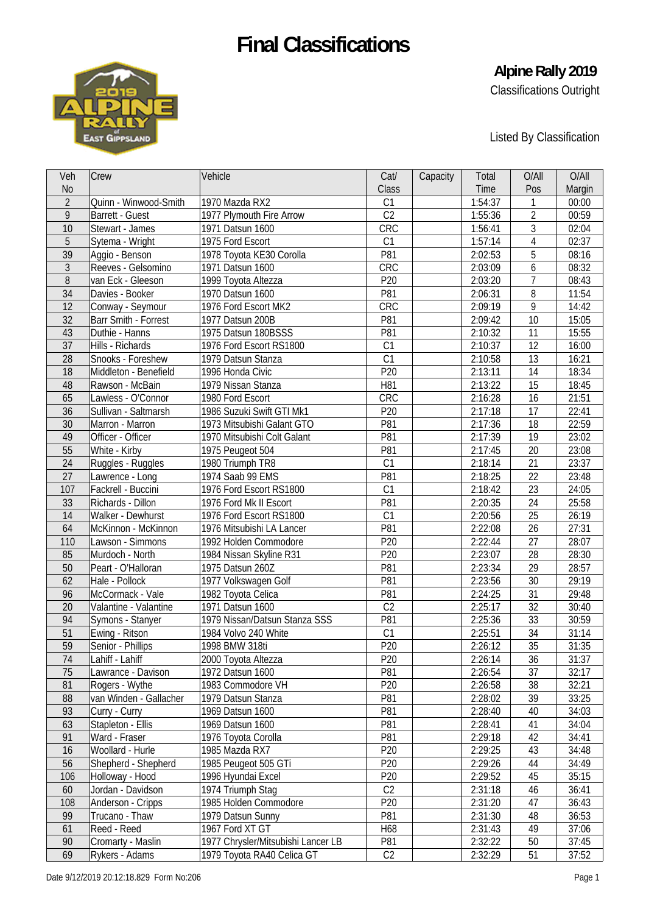

# **Alpine Rally 2019**

Classifications Outright

Listed By Classification

| Veh            | Crew                   | Vehicle                            | Cat/            | Capacity | Total   | O/All          | O/All          |
|----------------|------------------------|------------------------------------|-----------------|----------|---------|----------------|----------------|
| <b>No</b>      |                        |                                    | Class           |          | Time    | Pos            | Margin         |
| $\overline{2}$ | Quinn - Winwood-Smith  | 1970 Mazda RX2                     | C1              |          | 1:54:37 | 1              | 00:00          |
| 9              | Barrett - Guest        | 1977 Plymouth Fire Arrow           | C <sub>2</sub>  |          | 1:55:36 | $\overline{2}$ | 00:59          |
| 10             | Stewart - James        | 1971 Datsun 1600                   | CRC             |          | 1:56:41 | 3              | 02:04          |
| 5              | Sytema - Wright        | 1975 Ford Escort                   | C1              |          | 1:57:14 | $\overline{4}$ | 02:37          |
| 39             | Aggio - Benson         | 1978 Toyota KE30 Corolla           | P81             |          | 2:02:53 | 5              | 08:16          |
| 3              | Reeves - Gelsomino     | 1971 Datsun 1600                   | CRC             |          | 2:03:09 | 6              | 08:32          |
| 8              | van Eck - Gleeson      | 1999 Toyota Altezza                | P20             |          | 2:03:20 | $\overline{7}$ | 08:43          |
| 34             | Davies - Booker        | 1970 Datsun 1600                   | P81             |          | 2:06:31 | 8              | 11:54          |
| 12             | Conway - Seymour       | 1976 Ford Escort MK2               | CRC             |          | 2:09:19 | 9              | 14:42          |
| 32             | Barr Smith - Forrest   | 1977 Datsun 200B                   | P81             |          | 2:09:42 | 10             | 15:05          |
| 43             | Duthie - Hanns         | 1975 Datsun 180BSSS                | P81             |          | 2:10:32 | 11             | 15:55          |
| 37             | Hills - Richards       | 1976 Ford Escort RS1800            | C1              |          | 2:10:37 | 12             | 16:00          |
| 28             | Snooks - Foreshew      | 1979 Datsun Stanza                 | C1              |          | 2:10:58 | 13             | 16:21          |
| 18             | Middleton - Benefield  | 1996 Honda Civic                   | P <sub>20</sub> |          | 2:13:11 | 14             | 18:34          |
| 48             | Rawson - McBain        | 1979 Nissan Stanza                 | H81             |          | 2:13:22 | 15             | 18:45          |
| 65             | Lawless - O'Connor     | 1980 Ford Escort                   | CRC             |          | 2:16:28 | 16             | 21:51          |
| 36             | Sullivan - Saltmarsh   | 1986 Suzuki Swift GTI Mk1          | P20             |          | 2:17:18 | 17             | 22:41          |
| 30             | Marron - Marron        | 1973 Mitsubishi Galant GTO         | P81             |          | 2:17:36 | 18             | 22:59          |
| 49             | Officer - Officer      | 1970 Mitsubishi Colt Galant        | P81             |          | 2:17:39 | 19             | 23:02          |
| 55             | White - Kirby          | 1975 Peugeot 504                   | P81             |          | 2:17:45 | 20             | 23:08          |
| 24             | Ruggles - Ruggles      | 1980 Triumph TR8                   | C1              |          | 2:18:14 | 21             | 23:37          |
| 27             | Lawrence - Long        | 1974 Saab 99 EMS                   | P81             |          | 2:18:25 | 22             | 23:48          |
| 107            | Fackrell - Buccini     | 1976 Ford Escort RS1800            | C1              |          | 2:18:42 | 23             | 24:05          |
| 33             | Richards - Dillon      | 1976 Ford Mk II Escort             | P81             |          | 2:20:35 | 24             | 25:58          |
| 14             | Walker - Dewhurst      | 1976 Ford Escort RS1800            | C1              |          | 2:20:56 | 25             | 26:19          |
| 64             | McKinnon - McKinnon    | 1976 Mitsubishi LA Lancer          | P81             |          | 2:22:08 | 26             | 27:31          |
| 110            | Lawson - Simmons       | 1992 Holden Commodore              | P20             |          | 2:22:44 | 27             | 28:07          |
| 85             | Murdoch - North        |                                    | P20             |          |         | 28             | 28:30          |
|                |                        | 1984 Nissan Skyline R31            | P81             |          | 2:23:07 | 29             |                |
| 50             | Peart - O'Halloran     | 1975 Datsun 260Z                   | P81             |          | 2:23:34 |                | 28:57<br>29:19 |
| 62             | Hale - Pollock         | 1977 Volkswagen Golf               |                 |          | 2:23:56 | 30             |                |
| 96             | McCormack - Vale       | 1982 Toyota Celica                 | P81             |          | 2:24:25 | 31             | 29:48          |
| 20             | Valantine - Valantine  | 1971 Datsun 1600                   | C <sub>2</sub>  |          | 2:25:17 | 32             | 30:40          |
| 94             | Symons - Stanyer       | 1979 Nissan/Datsun Stanza SSS      | P81             |          | 2:25:36 | 33             | 30:59          |
| 51             | Ewing - Ritson         | 1984 Volvo 240 White               | C1              |          | 2:25:51 | 34             | 31:14          |
| 59             | Senior - Phillips      | 1998 BMW 318ti                     | P20             |          | 2:26:12 | 35             | 31:35          |
| 74             | Lahiff - Lahiff        | 2000 Toyota Altezza                | P20             |          | 2:26:14 | 36             | 31:37          |
| 75             | Lawrance - Davison     | 1972 Datsun 1600                   | P81             |          | 2:26:54 | 37             | 32:17          |
| 81             | Rogers - Wythe         | 1983 Commodore VH                  | P20             |          | 2:26:58 | 38             | 32:21          |
| 88             | van Winden - Gallacher | 1979 Datsun Stanza                 | P81             |          | 2:28:02 | 39             | 33:25          |
| 93             | Curry - Curry          | 1969 Datsun 1600                   | P81             |          | 2:28:40 | 40             | 34:03          |
| 63             | Stapleton - Ellis      | 1969 Datsun 1600                   | P81             |          | 2:28:41 | 41             | 34:04          |
| 91             | Ward - Fraser          | 1976 Toyota Corolla                | P81             |          | 2:29:18 | 42             | 34:41          |
| 16             | Woollard - Hurle       | 1985 Mazda RX7                     | P20             |          | 2:29:25 | 43             | 34:48          |
| 56             | Shepherd - Shepherd    | 1985 Peugeot 505 GTi               | P20             |          | 2:29:26 | 44             | 34:49          |
| 106            | Holloway - Hood        | 1996 Hyundai Excel                 | P20             |          | 2:29:52 | 45             | 35:15          |
| 60             | Jordan - Davidson      | 1974 Triumph Stag                  | C <sub>2</sub>  |          | 2:31:18 | 46             | 36:41          |
| 108            | Anderson - Cripps      | 1985 Holden Commodore              | P20             |          | 2:31:20 | 47             | 36:43          |
| 99             | Trucano - Thaw         | 1979 Datsun Sunny                  | P81             |          | 2:31:30 | 48             | 36:53          |
| 61             | Reed - Reed            | 1967 Ford XT GT                    | H68             |          | 2:31:43 | 49             | 37:06          |
| 90             | Cromarty - Maslin      | 1977 Chrysler/Mitsubishi Lancer LB | P81             |          | 2:32:22 | 50             | 37:45          |
| 69             | Rykers - Adams         | 1979 Toyota RA40 Celica GT         | C <sub>2</sub>  |          | 2:32:29 | 51             | 37:52          |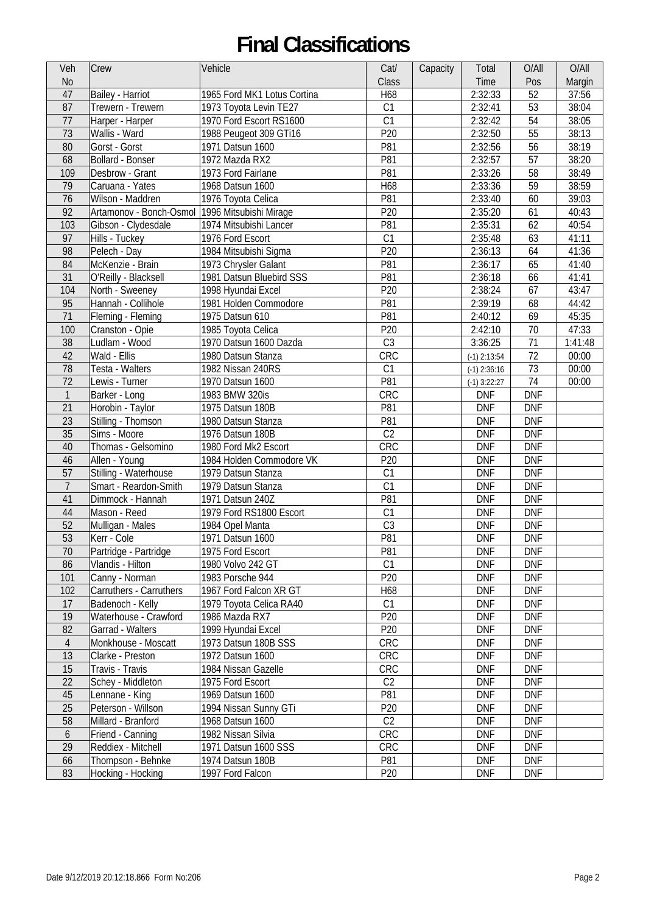| Veh              | <b>Crew</b>                                    | Vehicle                     | Cat/            | Capacity | Total          | O/All      | O/All   |
|------------------|------------------------------------------------|-----------------------------|-----------------|----------|----------------|------------|---------|
| <b>No</b>        |                                                |                             | Class           |          | Time           | Pos        | Margin  |
| 47               | Bailey - Harriot                               | 1965 Ford MK1 Lotus Cortina | H68             |          | 2:32:33        | 52         | 37:56   |
| 87               | Trewern - Trewern                              | 1973 Toyota Levin TE27      | C1              |          | 2:32:41        | 53         | 38:04   |
| 77               | Harper - Harper                                | 1970 Ford Escort RS1600     | C1              |          | 2:32:42        | 54         | 38:05   |
| 73               | Wallis - Ward                                  | 1988 Peugeot 309 GTi16      | P20             |          | 2:32:50        | 55         | 38:13   |
| 80               | Gorst - Gorst                                  | 1971 Datsun 1600            | P81             |          | 2:32:56        | 56         | 38:19   |
| 68               | Bollard - Bonser                               | 1972 Mazda RX2              | P81             |          | 2:32:57        | 57         | 38:20   |
| 109              | Desbrow - Grant                                | 1973 Ford Fairlane          | P81             |          | 2:33:26        | 58         | 38:49   |
| 79               | Caruana - Yates                                | 1968 Datsun 1600            | H68             |          | 2:33:36        | 59         | 38:59   |
| 76               | Wilson - Maddren                               | 1976 Toyota Celica          | P81             |          | 2:33:40        | 60         | 39:03   |
| 92               | Artamonov - Bonch-Osmol 1996 Mitsubishi Mirage |                             | P20             |          | 2:35:20        | 61         | 40:43   |
| 103              | Gibson - Clydesdale                            | 1974 Mitsubishi Lancer      | P81             |          | 2:35:31        | 62         | 40:54   |
| 97               | Hills - Tuckey                                 | 1976 Ford Escort            | C1              |          | 2:35:48        | 63         | 41:11   |
| 98               | Pelech - Day                                   | 1984 Mitsubishi Sigma       | P20             |          | 2:36:13        | 64         | 41:36   |
| 84               | McKenzie - Brain                               | 1973 Chrysler Galant        | P81             |          | 2:36:17        | 65         | 41:40   |
| 31               | O'Reilly - Blacksell                           | 1981 Datsun Bluebird SSS    | P81             |          | 2:36:18        | 66         | 41:41   |
| 104              | North - Sweeney                                | 1998 Hyundai Excel          | P20             |          | 2:38:24        | 67         | 43:47   |
| 95               | Hannah - Collihole                             | 1981 Holden Commodore       | P81             |          | 2:39:19        | 68         | 44:42   |
| 71               | Fleming - Fleming                              | 1975 Datsun 610             | P81             |          | 2:40:12        | 69         | 45:35   |
| 100              | Cranston - Opie                                | 1985 Toyota Celica          | P20             |          | 2:42:10        | 70         | 47:33   |
| 38               | Ludlam - Wood                                  | 1970 Datsun 1600 Dazda      | C <sub>3</sub>  |          | 3:36:25        | 71         | 1:41:48 |
| 42               | $\overline{\text{W}}$ ald - Ellis              | 1980 Datsun Stanza          | CRC             |          | $(-1)$ 2:13:54 | 72         | 00:00   |
| 78               | Testa - Walters                                | 1982 Nissan 240RS           | C1              |          | $(-1)$ 2:36:16 | 73         | 00:00   |
| 72               | Lewis - Turner                                 | 1970 Datsun 1600            | P81             |          | $(-1)$ 3:22:27 | 74         | 00:00   |
| $\mathbf{1}$     | Barker - Long                                  | 1983 BMW 320is              | CRC             |          | <b>DNF</b>     | <b>DNF</b> |         |
| 21               | Horobin - Taylor                               | 1975 Datsun 180B            | P81             |          | <b>DNF</b>     | <b>DNF</b> |         |
| 23               | Stilling - Thomson                             | 1980 Datsun Stanza          | P81             |          | <b>DNF</b>     | <b>DNF</b> |         |
| 35               | Sims - Moore                                   | 1976 Datsun 180B            | C <sub>2</sub>  |          | <b>DNF</b>     | <b>DNF</b> |         |
| 40               | Thomas - Gelsomino                             | 1980 Ford Mk2 Escort        | CRC             |          | <b>DNF</b>     | <b>DNF</b> |         |
| 46               | Allen - Young                                  | 1984 Holden Commodore VK    | P20             |          | <b>DNF</b>     | <b>DNF</b> |         |
| 57               | Stilling - Waterhouse                          | 1979 Datsun Stanza          | C1              |          | <b>DNF</b>     | <b>DNF</b> |         |
| $\overline{7}$   | Smart - Reardon-Smith                          | 1979 Datsun Stanza          | C1              |          | <b>DNF</b>     | <b>DNF</b> |         |
| 41               | Dimmock - Hannah                               | 1971 Datsun 240Z            | P81             |          | <b>DNF</b>     | <b>DNF</b> |         |
| 44               | Mason - Reed                                   | 1979 Ford RS1800 Escort     | C1              |          | <b>DNF</b>     | <b>DNF</b> |         |
| 52               | Mulligan - Males                               | 1984 Opel Manta             | C <sub>3</sub>  |          | <b>DNF</b>     | <b>DNF</b> |         |
| 53               | Kerr - Cole                                    | 1971 Datsun 1600            | P81             |          | <b>DNF</b>     | <b>DNF</b> |         |
| 70               | Partridge - Partridge                          | 1975 Ford Escort            | P81             |          | <b>DNF</b>     | <b>DNF</b> |         |
| 86               | Vlandis - Hilton                               | 1980 Volvo 242 GT           | C1              |          | <b>DNF</b>     | <b>DNF</b> |         |
| 101              | Canny - Norman                                 | 1983 Porsche 944            | P20             |          | <b>DNF</b>     | <b>DNF</b> |         |
| 102              | Carruthers - Carruthers                        | 1967 Ford Falcon XR GT      | H68             |          | <b>DNF</b>     | <b>DNF</b> |         |
| 17               | Badenoch - Kelly                               | 1979 Toyota Celica RA40     | C1              |          | <b>DNF</b>     | <b>DNF</b> |         |
| 19               | Waterhouse - Crawford                          | 1986 Mazda RX7              | P <sub>20</sub> |          | <b>DNF</b>     | <b>DNF</b> |         |
| 82               | Garrad - Walters                               | 1999 Hyundai Excel          | P <sub>20</sub> |          | <b>DNF</b>     | <b>DNF</b> |         |
| $\overline{4}$   | Monkhouse - Moscatt                            | 1973 Datsun 180B SSS        | <b>CRC</b>      |          | <b>DNF</b>     | <b>DNF</b> |         |
| 13               | Clarke - Preston                               | 1972 Datsun 1600            | <b>CRC</b>      |          | <b>DNF</b>     | <b>DNF</b> |         |
| 15               | Travis - Travis                                | 1984 Nissan Gazelle         | CRC             |          | <b>DNF</b>     | <b>DNF</b> |         |
| 22               | Schey - Middleton                              | 1975 Ford Escort            | C <sub>2</sub>  |          | <b>DNF</b>     | <b>DNF</b> |         |
| 45               | Lennane - King                                 | 1969 Datsun 1600            | P81             |          | <b>DNF</b>     | <b>DNF</b> |         |
| 25               | Peterson - Willson                             | 1994 Nissan Sunny GTi       | P <sub>20</sub> |          | <b>DNF</b>     | <b>DNF</b> |         |
| 58               | Millard - Branford                             | 1968 Datsun 1600            | C <sub>2</sub>  |          | <b>DNF</b>     | <b>DNF</b> |         |
| $\boldsymbol{6}$ | Friend - Canning                               | 1982 Nissan Silvia          | <b>CRC</b>      |          | <b>DNF</b>     | <b>DNF</b> |         |
| 29               | Reddiex - Mitchell                             | 1971 Datsun 1600 SSS        | CRC             |          | <b>DNF</b>     | <b>DNF</b> |         |
| 66               | Thompson - Behnke                              | 1974 Datsun 180B            | P81             |          | <b>DNF</b>     | <b>DNF</b> |         |
| 83               | Hocking - Hocking                              | 1997 Ford Falcon            | P <sub>20</sub> |          | <b>DNF</b>     | <b>DNF</b> |         |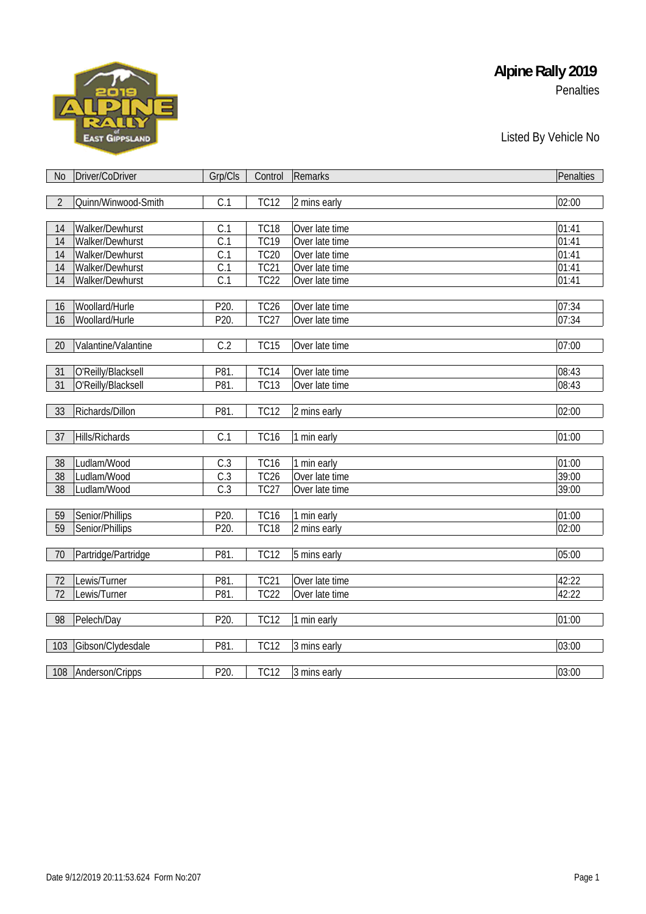# **EAST GIPPSLAND**

#### **Alpine Rally 2019**  Penalties

#### Listed By Vehicle No

| No             | Driver/CoDriver     | Grp/Cls          | Control           | Remarks        | Penalties          |
|----------------|---------------------|------------------|-------------------|----------------|--------------------|
|                |                     |                  |                   |                |                    |
| $\overline{2}$ | Quinn/Winwood-Smith | C.1              | <b>TC12</b>       | 2 mins early   | 02:00              |
|                |                     |                  |                   |                |                    |
| 14             | Walker/Dewhurst     | C.1              | <b>TC18</b>       | Over late time | 01:41              |
| 14             | Walker/Dewhurst     | C.1              | <b>TC19</b>       | Over late time | $\overline{0}1:41$ |
| 14             | Walker/Dewhurst     | C.1              | <b>TC20</b>       | Over late time | 01:41              |
| 14             | Walker/Dewhurst     | C.1              | <b>TC21</b>       | Over late time | 01:41              |
| 14             | Walker/Dewhurst     | C.1              | <b>TC22</b>       | Over late time | 01:41              |
|                |                     |                  |                   |                |                    |
| 16             | Woollard/Hurle      | P20.             | TC <sub>26</sub>  | Over late time | 07:34              |
| 16             | Woollard/Hurle      | P20.             | <b>TC27</b>       | Over late time | 07:34              |
|                |                     |                  |                   |                |                    |
| 20             | Valantine/Valantine | C.2              | TC15              | Over late time | 07:00              |
|                |                     |                  |                   |                |                    |
| 31             | O'Reilly/Blacksell  | P81.             | TC14              | Over late time | 08:43              |
| 31             | O'Reilly/Blacksell  | P81.             | $\overline{TC13}$ | Over late time | 08:43              |
|                |                     |                  |                   |                |                    |
| 33             | Richards/Dillon     | P81.             | <b>TC12</b>       | 2 mins early   | 02:00              |
|                |                     |                  |                   |                |                    |
| 37             | Hills/Richards      | C.1              | TC16              | 1 min early    | 01:00              |
|                |                     |                  |                   |                |                    |
| 38             | Ludlam/Wood         | C.3              | TC16              | 1 min early    | 01:00              |
| 38             | Ludlam/Wood         | C.3              | TC <sub>26</sub>  | Over late time | 39:00              |
| 38             | Ludlam/Wood         | $\overline{C.3}$ | <b>TC27</b>       | Over late time | 39:00              |
|                |                     |                  |                   |                |                    |
| 59             | Senior/Phillips     | P20.             | TC16              | 1 min early    | 01:00              |
| 59             | Senior/Phillips     | P20.             | <b>TC18</b>       | 2 mins early   | 02:00              |
|                |                     |                  |                   |                |                    |
| 70             | Partridge/Partridge | P81.             | <b>TC12</b>       | 5 mins early   | 05:00              |
|                |                     |                  |                   |                |                    |
| 72             | Lewis/Turner        | P81.             | <b>TC21</b>       | Over late time | 42:22              |
| 72             | Lewis/Turner        | P81.             | <b>TC22</b>       | Over late time | 42:22              |
|                |                     |                  |                   |                |                    |
| 98             | Pelech/Day          | P20.             | <b>TC12</b>       | 1 min early    | 01:00              |
|                |                     |                  |                   |                |                    |
| 103            | Gibson/Clydesdale   | P81.             | <b>TC12</b>       | 3 mins early   | 03:00              |
|                |                     |                  |                   |                |                    |
|                | 108 Anderson/Cripps | P20.             | <b>TC12</b>       | 3 mins early   | 03:00              |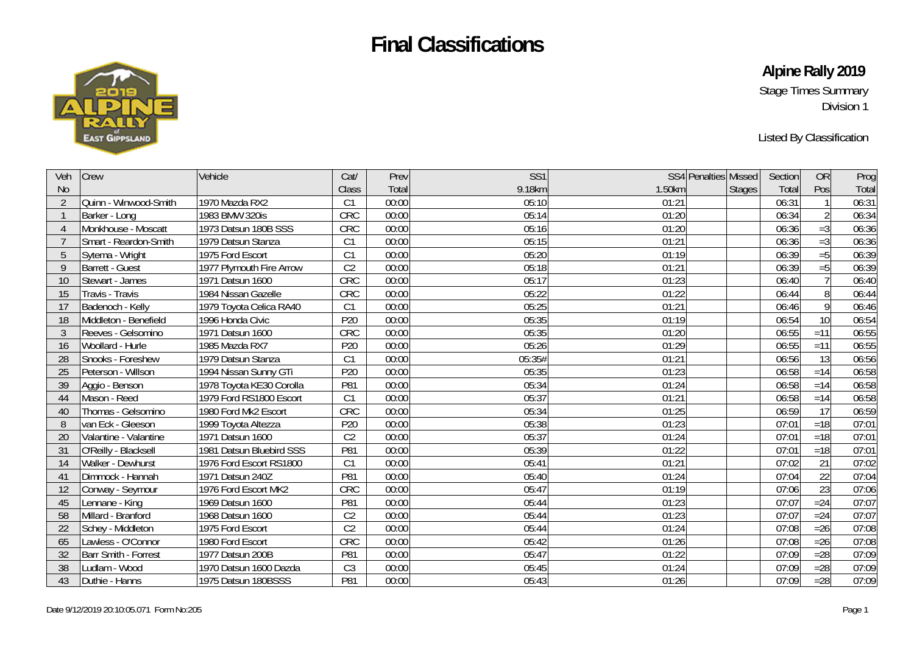

**Alpine Rally 2019** 

Stage Times Summary Division 1

Listed By Classification

| Veh            | <b>Crew</b>            | Vehicle                  | Cat/            | Prev  | SS <sub>1</sub> |        | SS4 Penalties Missed | Section | <b>OR</b>       | Prog  |
|----------------|------------------------|--------------------------|-----------------|-------|-----------------|--------|----------------------|---------|-----------------|-------|
| <b>No</b>      |                        |                          | Class           | Total | 9.18km          | 1.50km | <b>Stages</b>        | Total   | Pos             | Total |
| $\overline{2}$ | Quinn - Winwood-Smith  | 1970 Mazda RX2           | C1              | 00:00 | 05:10           | 01:21  |                      | 06:31   |                 | 06:31 |
|                | Barker - Long          | 1983 BMW 320is           | CRC             | 00:00 | 05:14           | 01:20  |                      | 06:34   |                 | 06:34 |
| $\overline{A}$ | Monkhouse - Moscatt    | 1973 Datsun 180B SSS     | CRC             | 00:00 | 05:16           | 01:20  |                      | 06:36   | $=3$            | 06:36 |
|                | Smart - Reardon-Smith  | 1979 Datsun Stanza       | C1              | 00:00 | 05:15           | 01:21  |                      | 06:36   | $=3$            | 06:36 |
| 5              | Sytema - Wright        | 1975 Ford Escort         | C1              | 00:00 | 05:20           | 01:19  |                      | 06:39   | $=5$            | 06:39 |
| 9              | <b>Barrett - Guest</b> | 1977 Plymouth Fire Arrow | C <sub>2</sub>  | 00:00 | 05:18           | 01:21  |                      | 06:39   | $=5$            | 06:39 |
| 10             | Stewart - James        | 1971 Datsun 1600         | CRC             | 00:00 | 05:17           | 01:23  |                      | 06:40   | $\overline{7}$  | 06:40 |
| 15             | Travis - Travis        | 1984 Nissan Gazelle      | CRC             | 00:00 | 05:22           | 01:22  |                      | 06:44   | $8\,$           | 06:44 |
| 17             | Badenoch - Kelly       | 1979 Toyota Celica RA40  | C <sub>1</sub>  | 00:00 | 05:25           | 01:21  |                      | 06:46   | 9               | 06:46 |
| 18             | Middleton - Benefield  | 1996 Honda Civic         | P <sub>20</sub> | 00:00 | 05:35           | 01:19  |                      | 06:54   | 10              | 06:54 |
| $\mathfrak{Z}$ | Reeves - Gelsomino     | 1971 Datsun 1600         | CRC             | 00:00 | 05:35           | 01:20  |                      | 06:55   | $=11$           | 06:55 |
| 16             | Woollard - Hurle       | 1985 Mazda RX7           | P <sub>20</sub> | 00:00 | 05:26           | 01:29  |                      | 06:55   | $=11$           | 06:55 |
| 28             | Snooks - Foreshew      | 1979 Datsun Stanza       | C1              | 00:00 | 05:35#          | 01:21  |                      | 06:56   | 13              | 06:56 |
| 25             | Peterson - Willson     | 1994 Nissan Sunny GTi    | P <sub>20</sub> | 00:00 | 05:35           | 01:23  |                      | 06:58   | $=14$           | 06:58 |
| 39             | Aggio - Benson         | 1978 Toyota KE30 Corolla | P81             | 00:00 | 05:34           | 01:24  |                      | 06:58   | $=14$           | 06:58 |
| 44             | Mason - Reed           | 1979 Ford RS1800 Escort  | C1              | 00:00 | 05:37           | 01:21  |                      | 06:58   | $=14$           | 06:58 |
| 40             | Thomas - Gelsomino     | 1980 Ford Mk2 Escort     | CRC             | 00:00 | 05:34           | 01:25  |                      | 06:59   | 17              | 06:59 |
| 8              | van Eck - Gleeson      | 1999 Toyota Altezza      | P20             | 00:00 | 05:38           | 01:23  |                      | 07:01   | $=18$           | 07:01 |
| 20             | Valantine - Valantine  | 1971 Datsun 1600         | C <sub>2</sub>  | 00:00 | 05:37           | 01:24  |                      | 07:01   | $=18$           | 07:01 |
| 31             | O'Reilly - Blacksell   | 1981 Datsun Bluebird SSS | P81             | 00:00 | 05:39           | 01:22  |                      | 07:01   | $=18$           | 07:01 |
| 14             | Walker - Dewhurst      | 1976 Ford Escort RS1800  | C1              | 00:00 | 05:41           | 01:21  |                      | 07:02   | 21              | 07:02 |
| 41             | Dimmock - Hannah       | 1971 Datsun 240Z         | P81             | 00:00 | 05:40           | 01:24  |                      | 07:04   | $\overline{22}$ | 07:04 |
| 12             | Conway - Seymour       | 1976 Ford Escort MK2     | CRC             | 00:00 | 05:47           | 01:19  |                      | 07:06   | 23              | 07:06 |
| 45             | Lennane - King         | 1969 Datsun 1600         | P81             | 00:00 | 05:44           | 01:23  |                      | 07:07   | $=24$           | 07:07 |
| 58             | Millard - Branford     | 1968 Datsun 1600         | C <sub>2</sub>  | 00:00 | 05:44           | 01:23  |                      | 07:07   | $=24$           | 07:07 |
| 22             | Schey - Middleton      | 1975 Ford Escort         | C <sub>2</sub>  | 00:00 | 05:44           | 01:24  |                      | 07:08   | $=26$           | 07:08 |
| 65             | Lawless - O'Connor     | 1980 Ford Escort         | CRC             | 00:00 | 05:42           | 01:26  |                      | 07:08   | $=26$           | 07:08 |
| 32             | Barr Smith - Forrest   | 1977 Datsun 200B         | P81             | 00:00 | 05:47           | 01:22  |                      | 07:09   | $=28$           | 07:09 |
| 38             | Ludlam - Wood          | 1970 Datsun 1600 Dazda   | C <sub>3</sub>  | 00:00 | 05:45           | 01:24  |                      | 07:09   | $=28$           | 07:09 |
| 43             | Duthie - Hanns         | 1975 Datsun 180BSSS      | P81             | 00:00 | 05:43           | 01:26  |                      | 07:09   | $=28$           | 07:09 |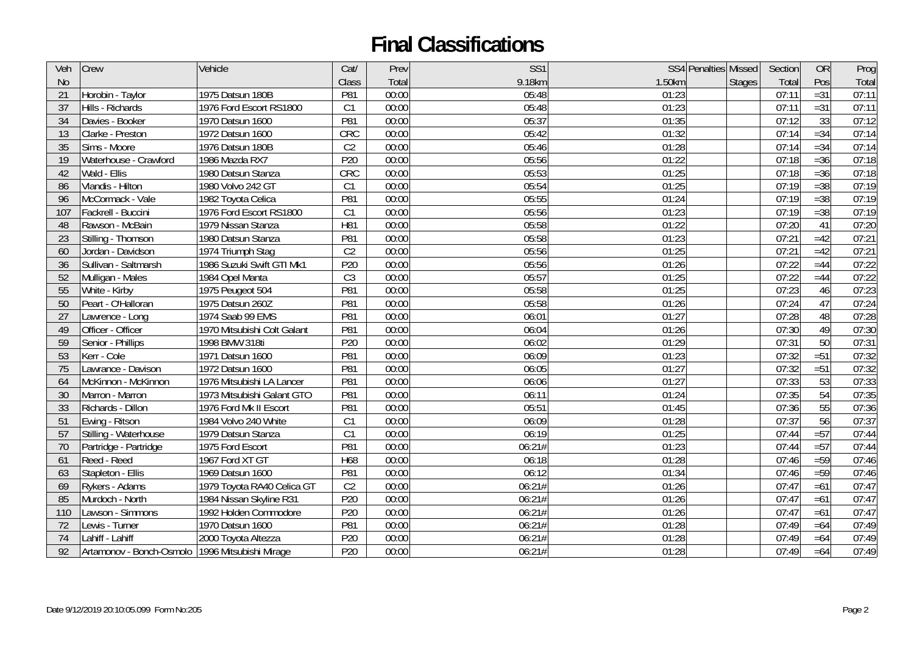| Veh            | Crew                                              | Vehicle                     | Cat/            | Prev  | SS <sub>1</sub> |        | SS4 Penalties Missed<br>Section | <b>OR</b> | Prog  |
|----------------|---------------------------------------------------|-----------------------------|-----------------|-------|-----------------|--------|---------------------------------|-----------|-------|
| N <sub>o</sub> |                                                   |                             | Class           | Total | 9.18km          | 1.50km | Total<br><b>Stages</b>          | Pos       | Total |
| 21             | Horobin - Taylor                                  | 1975 Datsun 180B            | P81             | 00:00 | 05:48           | 01:23  | 07:11                           | $=31$     | 07:11 |
| 37             | Hills - Richards                                  | 1976 Ford Escort RS1800     | C1              | 00:00 | 05:48           | 01:23  | 07:11                           | $= 31$    | 07:11 |
| 34             | Davies - Booker                                   | 1970 Datsun 1600            | P81             | 00:00 | 05:37           | 01:35  | 07:12                           | 33        | 07:12 |
| 13             | Clarke - Preston                                  | 1972 Datsun 1600            | <b>CRC</b>      | 00:00 | 05:42           | 01:32  | 07:14                           | $= 34$    | 07:14 |
| 35             | Sims - Moore                                      | 1976 Datsun 180B            | C <sub>2</sub>  | 00:00 | 05:46           | 01:28  | 07:14                           | $= 34$    | 07:14 |
| 19             | Waterhouse - Crawford                             | 1986 Mazda RX7              | P20             | 00:00 | 05:56           | 01:22  | 07:18                           | $=36$     | 07:18 |
| 42             | Wald - Ellis                                      | 1980 Datsun Stanza          | CRC             | 00:00 | 05:53           | 01:25  | 07:18                           | $=36$     | 07:18 |
| 86             | Vlandis - Hilton                                  | 1980 Volvo 242 GT           | C1              | 00:00 | 05:54           | 01:25  | 07:19                           | $=38$     | 07:19 |
| 96             | McCormack - Vale                                  | 1982 Toyota Celica          | P81             | 00:00 | 05:55           | 01:24  | 07:19                           | $=38$     | 07:19 |
| 107            | Fackrell - Buccini                                | 1976 Ford Escort RS1800     | C1              | 00:00 | 05:56           | 01:23  | 07:19                           | $=38$     | 07:19 |
| 48             | Rawson - McBain                                   | 1979 Nissan Stanza          | H81             | 00:00 | 05:58           | 01:22  | 07:20                           | 41        | 07:20 |
| 23             | Stilling - Thomson                                | 1980 Datsun Stanza          | P81             | 00:00 | 05:58           | 01:23  | 07:21                           | $=42$     | 07:21 |
| 60             | Jordan - Davidson                                 | 1974 Triumph Stag           | C <sub>2</sub>  | 00:00 | 05:56           | 01:25  | 07:21                           | $=42$     | 07:21 |
| 36             | Sullivan - Saltmarsh                              | 1986 Suzuki Swift GTI Mk1   | P20             | 00:00 | 05:56           | 01:26  | 07:22                           | $=44$     | 07:22 |
| 52             | Mulligan - Males                                  | 1984 Opel Manta             | C <sub>3</sub>  | 00:00 | 05:57           | 01:25  | 07:22                           | $=44$     | 07:22 |
| 55             | White - Kirby                                     | 1975 Peugeot 504            | P81             | 00:00 | 05:58           | 01:25  | 07:23                           | 46        | 07:23 |
| 50             | Peart - O'Halloran                                | 1975 Datsun 260Z            | P81             | 00:00 | 05:58           | 01:26  | 07:24                           | 47        | 07:24 |
| 27             | Lawrence - Long                                   | 1974 Saab 99 EMS            | P81             | 00:00 | 06:01           | 01:27  | 07:28                           | 48        | 07:28 |
| 49             | Officer - Officer                                 | 1970 Mitsubishi Colt Galant | P81             | 00:00 | 06:04           | 01:26  | 07:30                           | 49        | 07:30 |
| 59             | Senior - Phillips                                 | 1998 BMW 318ti              | P <sub>20</sub> | 00:00 | 06:02           | 01:29  | 07:31                           | 50        | 07:31 |
| 53             | Kerr - Cole                                       | 1971 Datsun 1600            | P81             | 00:00 | 06:09           | 01:23  | 07:32                           | $=51$     | 07:32 |
| 75             | Lawrance - Davison                                | 1972 Datsun 1600            | P81             | 00:00 | 06:05           | 01:27  | 07:32                           | $=51$     | 07:32 |
| 64             | McKinnon - McKinnon                               | 1976 Mitsubishi LA Lancer   | P81             | 00:00 | 06:06           | 01:27  | 07:33                           | 53        | 07:33 |
| 30             | Marron - Marron                                   | 1973 Mitsubishi Galant GTO  | P81             | 00:00 | 06:11           | 01:24  | 07:35                           | 54        | 07:35 |
| 33             | Richards - Dillon                                 | 1976 Ford Mk II Escort      | P81             | 00:00 | 05:51           | 01:45  | 07:36                           | 55        | 07:36 |
| 51             | Ewing - Ritson                                    | 1984 Volvo 240 White        | C <sub>1</sub>  | 00:00 | 06:09           | 01:28  | 07:37                           | 56        | 07:37 |
| 57             | Stilling - Waterhouse                             | 1979 Datsun Stanza          | C1              | 00:00 | 06:19           | 01:25  | 07:44                           | $=57$     | 07:44 |
| 70             | Partridge - Partridge                             | 1975 Ford Escort            | P81             | 00:00 | 06:21#          | 01:23  | 07:44                           | $=57$     | 07:44 |
| 61             | Reed - Reed                                       | 1967 Ford XT GT             | H68             | 00:00 | 06:18           | 01:28  | 07:46                           | $=59$     | 07:46 |
| 63             | Stapleton - Ellis                                 | 1969 Datsun 1600            | P81             | 00:00 | 06:12           | 01:34  | 07:46                           | $=59$     | 07:46 |
| 69             | Rykers - Adams                                    | 1979 Toyota RA40 Celica GT  | C <sub>2</sub>  | 00:00 | 06:21#          | 01:26  | 07:47                           | $=61$     | 07:47 |
| 85             | Murdoch - North                                   | 1984 Nissan Skyline R31     | P20             | 00:00 | 06:21#          | 01:26  | 07:47                           | $=61$     | 07:47 |
| 110            | Lawson - Simmons                                  | 1992 Holden Commodore       | P <sub>20</sub> | 00:00 | 06:21#          | 01:26  | 07:47                           | $=61$     | 07:47 |
| 72             | Lewis - Turner                                    | 1970 Datsun 1600            | P81             | 00:00 | 06:21#          | 01:28  | 07:49                           | $=64$     | 07:49 |
| 74             | Lahiff - Lahiff                                   | 2000 Toyota Altezza         | P20             | 00:00 | 06:21#          | 01:28  | 07:49                           | $=64$     | 07:49 |
| 92             | Artamonov - Bonch-Osmolo   1996 Mitsubishi Mirage |                             | P20             | 00:00 | 06:21#          | 01:28  | 07:49                           | $=64$     | 07:49 |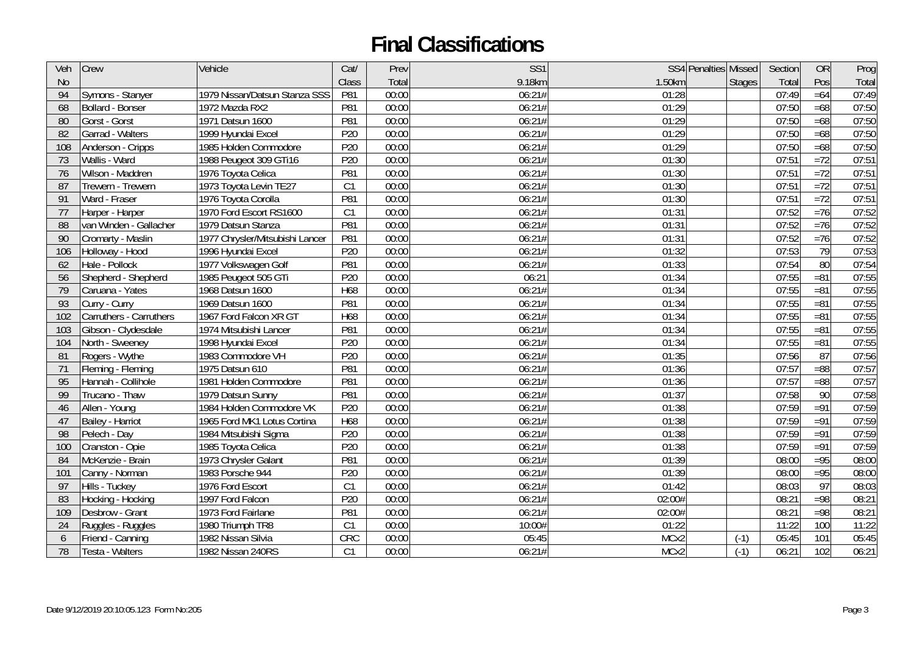| Veh       | Crew                    | Vehicle                         | Cat/            | Prev  | SS <sub>1</sub> |        | SS4 Penalties Missed<br>Section | <b>OR</b>       | Prog  |
|-----------|-------------------------|---------------------------------|-----------------|-------|-----------------|--------|---------------------------------|-----------------|-------|
| <b>No</b> |                         |                                 | Class           | Total | 9.18km          | 1.50km | Total<br><b>Stages</b>          | Pos             | Total |
| 94        | Symons - Stanyer        | 1979 Nissan/Datsun Stanza SSS   | P81             | 00:00 | 06:21#          | 01:28  | 07:49                           | $=64$           | 07:49 |
| 68        | Bollard - Bonser        | 1972 Mazda RX2                  | P81             | 00:00 | 06:21#          | 01:29  | 07:50                           | $=68$           | 07:50 |
| 80        | Gorst - Gorst           | 1971 Datsun 1600                | P81             | 00:00 | 06:21#          | 01:29  | 07:50                           | $=68$           | 07:50 |
| 82        | Garrad - Walters        | 1999 Hyundai Excel              | P20             | 00:00 | 06:21#          | 01:29  | 07:50                           | $=68$           | 07:50 |
| 108       | Anderson - Cripps       | 1985 Holden Commodore           | P20             | 00:00 | 06:21#          | 01:29  | 07:50                           | $=68$           | 07:50 |
| 73        | Wallis - Ward           | 1988 Peugeot 309 GTi16          | P <sub>20</sub> | 00:00 | 06:21#          | 01:30  | 07:51                           | $=72$           | 07:51 |
| 76        | Wilson - Maddren        | 1976 Toyota Celica              | P81             | 00:00 | 06:21#          | 01:30  | 07:51                           | $=72$           | 07:51 |
| 87        | Trewern - Trewern       | 1973 Toyota Levin TE27          | C1              | 00:00 | 06:21#          | 01:30  | 07:51                           | $=72$           | 07:51 |
| 91        | Ward - Fraser           | 1976 Toyota Corolla             | P81             | 00:00 | 06:21#          | 01:30  | 07:51                           | $=72$           | 07:51 |
| 77        | Harper - Harper         | 1970 Ford Escort RS1600         | C1              | 00:00 | 06:21#          | 01:31  | 07:52                           | $=76$           | 07:52 |
| 88        | van Winden - Gallacher  | 1979 Datsun Stanza              | P81             | 00:00 | 06:21#          | 01:31  | 07:52                           | $=76$           | 07:52 |
| 90        | Cromarty - Maslin       | 1977 Chrysler/Mitsubishi Lancer | P81             | 00:00 | 06:21#          | 01:31  | 07:52                           | $=76$           | 07:52 |
| 106       | Holloway - Hood         | 1996 Hyundai Excel              | P20             | 00:00 | 06:21#          | 01:32  | 07:53                           | 79              | 07:53 |
| 62        | Hale - Pollock          | 1977 Volkswagen Golf            | P81             | 00:00 | 06:21#          | 01:33  | 07:54                           | 80              | 07:54 |
| 56        | Shepherd - Shepherd     | 1985 Peugeot 505 GTi            | P20             | 00:00 | 06:21           | 01:34  | 07:55                           | $= 81$          | 07:55 |
| 79        | Caruana - Yates         | 1968 Datsun 1600                | H68             | 00:00 | 06:21#          | 01:34  | 07:55                           | $= 81$          | 07:55 |
| 93        | Curry - Curry           | 1969 Datsun 1600                | P81             | 00:00 | 06:21#          | 01:34  | 07:55                           | $= 81$          | 07:55 |
| 102       | Carruthers - Carruthers | 1967 Ford Falcon XR GT          | H68             | 00:00 | 06:21#          | 01:34  | 07:55                           | $= 81$          | 07:55 |
| 103       | Gibson - Clydesdale     | 1974 Mitsubishi Lancer          | P81             | 00:00 | 06:21#          | 01:34  | 07:55                           | $= 81$          | 07:55 |
| 104       | North - Sweeney         | 1998 Hyundai Excel              | P20             | 00:00 | 06:21#          | 01:34  | 07:55                           | $= 81$          | 07:55 |
| 81        | Rogers - Wythe          | 1983 Commodore VH               | P20             | 00:00 | 06:21#          | 01:35  | 07:56                           | 87              | 07:56 |
| 71        | Fleming - Fleming       | 1975 Datsun 610                 | P81             | 00:00 | 06:21#          | 01:36  | 07:57                           | $= 88$          | 07:57 |
| 95        | Hannah - Collihole      | 1981 Holden Commodore           | P81             | 00:00 | 06:21#          | 01:36  | 07:57                           | $=88$           | 07:57 |
| 99        | Trucano - Thaw          | 1979 Datsun Sunny               | P81             | 00:00 | 06:21#          | 01:37  | 07:58                           | 90              | 07:58 |
| 46        | Allen - Young           | 1984 Holden Commodore VK        | P20             | 00:00 | 06:21#          | 01:38  | 07:59                           | $= 91$          | 07:59 |
| 47        | Bailey - Harriot        | 1965 Ford MK1 Lotus Cortina     | H68             | 00:00 | 06:21#          | 01:38  | 07:59                           | $= 91$          | 07:59 |
| 98        | Pelech - Day            | 1984 Mitsubishi Sigma           | P20             | 00:00 | 06:21#          | 01:38  | 07:59                           | $= 91$          | 07:59 |
| 100       | Cranston - Opie         | 1985 Toyota Celica              | P <sub>20</sub> | 00:00 | 06:21#          | 01:38  | 07:59                           | $= 91$          | 07:59 |
| 84        | McKenzie - Brain        | 1973 Chrysler Galant            | P81             | 00:00 | 06:21#          | 01:39  | 08:00                           | $=95$           | 08:00 |
| 101       | Canny - Norman          | 1983 Porsche 944                | P20             | 00:00 | 06:21#          | 01:39  | 08:00                           | $= 95$          | 08:00 |
| 97        | Hills - Tuckey          | 1976 Ford Escort                | C1              | 00:00 | 06:21#          | 01:42  | 08:03                           | $\overline{97}$ | 08:03 |
| 83        | Hocking - Hocking       | 1997 Ford Falcon                | P <sub>20</sub> | 00:00 | 06:21#          | 02:00# | 08:21                           | $=98$           | 08:21 |
| 109       | Desbrow - Grant         | 1973 Ford Fairlane              | P81             | 00:00 | 06:21#          | 02:00# | 08:21                           | $=98$           | 08:21 |
| 24        | Ruggles - Ruggles       | 1980 Triumph TR8                | C1              | 00:00 | 10:00#          | 01:22  | 11:22                           | 100             | 11:22 |
| 6         | Friend - Canning        | 1982 Nissan Silvia              | CRC             | 00:00 | 05:45           | MCx2   | $(-1)$<br>05:45                 | 101             | 05:45 |
| 78        | Testa - Walters         | 1982 Nissan 240RS               | C1              | 00:00 | 06:21#          | MCx2   | $(-1)$<br>06:21                 | 102             | 06:21 |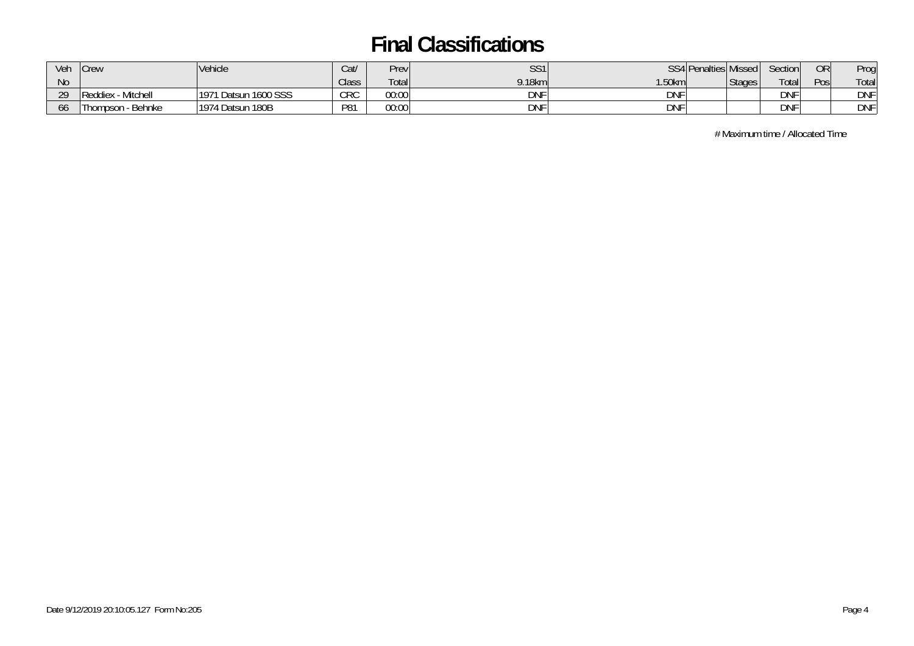| Veh          | <b>Crew</b>                 | Vehicle                       | Cat/       | Prev  | SS1        |            | SS4 Penalties Missed | Section    | OR   | Prog       |
|--------------|-----------------------------|-------------------------------|------------|-------|------------|------------|----------------------|------------|------|------------|
| <b>No</b>    |                             |                               | Class      | Total | $9.18$ km  | 1.50 $km$  | <b>Stages</b>        | Total      | Posi | Total      |
| 20<br>$\sim$ | Reddiex - Mitchell          | 1 Datsun 1600 SSS<br>$1197^*$ | <b>CRC</b> | 00:00 | <b>DNF</b> | DNF        |                      | <b>DNF</b> |      | <b>DNF</b> |
| 00           | <b>Thompson</b><br>- Behnke | 1974 Datsun 180B              | P81        | 00:00 | <b>DNF</b> | <b>DNF</b> |                      | <b>DNF</b> |      | <b>DNF</b> |

# Maximum time / Allocated Time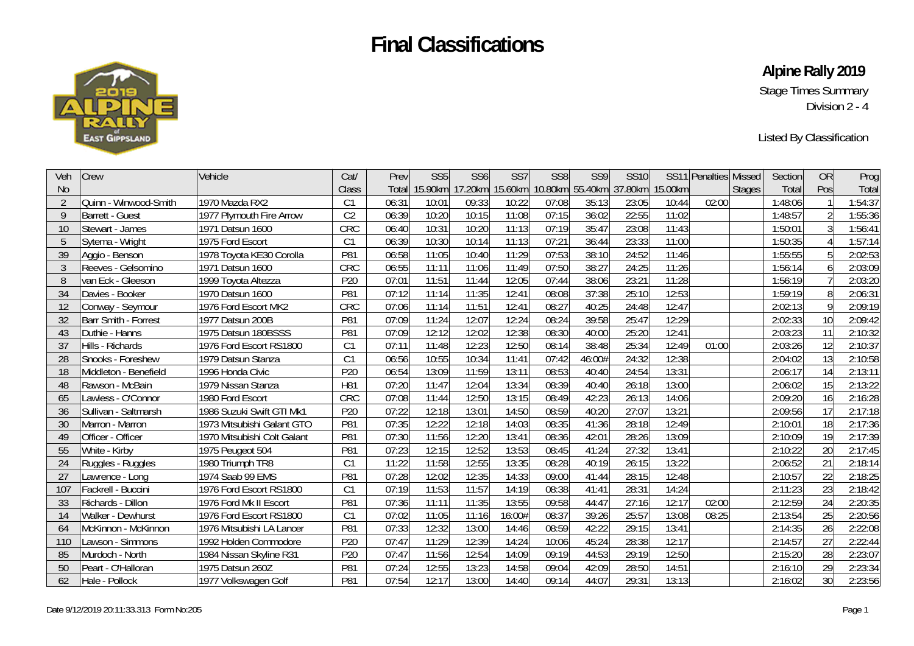

**Alpine Rally 2019** 

Stage Times Summary Division 2 - 4

Listed By Classification

| Veh            | <b>Crew</b>                 | Vehicle                     | Cat/            | Prev  | SS <sub>5</sub> | SS <sub>6</sub> | SS <sub>7</sub> | SS <sub>8</sub> | SS9     | <b>SS10</b> |         | SS11 Penalties Missed |               | Section | <b>OR</b>       | Prog    |
|----------------|-----------------------------|-----------------------------|-----------------|-------|-----------------|-----------------|-----------------|-----------------|---------|-------------|---------|-----------------------|---------------|---------|-----------------|---------|
| <b>No</b>      |                             |                             | Class           | Total | 15.90km         | .20km           | 15.60km         | 10.80km         | 55.40km | 37.80km     | 15.00km |                       | <b>Stages</b> | Total   | Pos             | Total   |
| $\overline{2}$ | Quinn - Winwood-Smith       | 1970 Mazda RX2              | C <sub>1</sub>  | 06:31 | 10:01           | 09:33           | 10:22           | 07:08           | 35:13   | 23:05       | 10:44   | 02:00                 |               | 1:48:06 |                 | 1:54:37 |
| 9              | <b>Barrett - Guest</b>      | 1977 Plymouth Fire Arrow    | C <sub>2</sub>  | 06:39 | 10:20           | 10:15           | 11:08           | 07:15           | 36:02   | 22:55       | 11:02   |                       |               | 1:48:57 |                 | 1:55:36 |
| 10             | Stewart - James             | 1971 Datsun 1600            | CRC             | 06:40 | 10:31           | 10:20           | 11:13           | 07:19           | 35:47   | 23:08       | 11:43   |                       |               | 1:50:01 |                 | 1:56:41 |
| 5              | Sytema - Wright             | 1975 Ford Escort            | C <sub>1</sub>  | 06:39 | 10:30           | 10:14           | 11:13           | 07:21           | 36:44   | 23:33       | 11:00   |                       |               | 1:50:35 |                 | 1:57:14 |
| 39             | Aggio - Benson              | 1978 Toyota KE30 Corolla    | P81             | 06:58 | 11:05           | 10:40           | 11:29           | 07:53           | 38:10   | 24:52       | 11:46   |                       |               | 1:55:55 |                 | 2:02:53 |
| 3              | Reeves - Gelsomino          | 1971 Datsun 1600            | CRC             | 06:55 | 11:11           | 11:06           | 11:49           | 07:50           | 38:27   | 24:25       | 11:26   |                       |               | 1:56:14 | 6               | 2:03:09 |
| 8              | van Eck - Gleeson           | 1999 Toyota Altezza         | P20             | 07:01 | 11:51           | 11:44           | 12:05           | 07:44           | 38:06   | 23:21       | 11:28   |                       |               | 1:56:19 |                 | 2:03:20 |
| 34             | Davies - Booker             | 1970 Datsun 1600            | P81             | 07:12 | 11:14           | 11:35           | 12:41           | 08:08           | 37:38   | 25:10       | 12:53   |                       |               | 1:59:19 | 8               | 2:06:31 |
| 12             | Conway - Seymour            | 1976 Ford Escort MK2        | CRC             | 07:06 | 11:14           | 11:51           | 12:41           | 08:27           | 40:25   | 24:48       | 12:47   |                       |               | 2:02:13 |                 | 2:09:19 |
| 32             | <b>Barr Smith - Forrest</b> | 1977 Datsun 200B            | P81             | 07:09 | 11:24           | 12:07           | 12:24           | 08:24           | 39:58   | 25:47       | 12:29   |                       |               | 2:02:33 | 10              | 2:09:42 |
| 43             | Duthie - Hanns              | 1975 Datsun 180BSSS         | P81             | 07:09 | 12:12           | 12:02           | 12:38           | 08:30           | 40:00   | 25:20       | 12:41   |                       |               | 2:03:23 | 11              | 2:10:32 |
| 37             | Hills - Richards            | 1976 Ford Escort RS1800     | C <sub>1</sub>  | 07:11 | 11:48           | 12:23           | 12:50           | 08:14           | 38:48   | 25:34       | 12:49   | 01:00                 |               | 2:03:26 | 12              | 2:10:37 |
| 28             | Snooks - Foreshew           | 1979 Datsun Stanza          | C <sub>1</sub>  | 06:56 | 10:55           | 10:34           | 11:41           | 07:42           | 46:00#  | 24:32       | 12:38   |                       |               | 2:04:02 | 13              | 2:10:58 |
| 18             | Middleton - Benefield       | 1996 Honda Civic            | P <sub>20</sub> | 06:54 | 13:09           | 11:59           | 13:11           | 08:53           | 40:40   | 24:54       | 13:31   |                       |               | 2:06:17 | 14              | 2:13:11 |
| 48             | Rawson - McBain             | 1979 Nissan Stanza          | H <sub>81</sub> | 07:20 | 11:47           | 12:04           | 13:34           | 08:39           | 40:40   | 26:18       | 13:00   |                       |               | 2:06:02 | 15              | 2:13:22 |
| 65             | Lawless - O'Connor          | 1980 Ford Escort            | CRC             | 07:08 | 11:44           | 12:50           | 13:15           | 08:49           | 42:23   | 26:13       | 14:06   |                       |               | 2:09:20 | 16              | 2:16:28 |
| 36             | Sullivan - Saltmarsh        | 1986 Suzuki Swift GTI Mk1   | P20             | 07:22 | 12:18           | 13:01           | 14:50           | 08:59           | 40:20   | 27:07       | 13:21   |                       |               | 2:09:56 | 17              | 2:17:18 |
| 30             | Marron - Marron             | 1973 Mitsubishi Galant GTO  | P81             | 07:35 | 12:22           | 12:18           | 14:03           | 08:35           | 41:36   | 28:18       | 12:49   |                       |               | 2:10:01 | 18              | 2:17:36 |
| 49             | Officer - Officer           | 1970 Mitsubishi Colt Galant | P81             | 07:30 | 11:56           | 12:20           | 13:41           | 08:36           | 42:01   | 28:26       | 13:09   |                       |               | 2:10:09 | 19              | 2:17:39 |
| 55             | White - Kirby               | 1975 Peugeot 504            | P81             | 07:23 | 12:15           | 12:52           | 13:53           | 08:45           | 41:24   | 27:32       | 13:41   |                       |               | 2:10:22 | 20              | 2:17:45 |
| 24             | Ruggles - Ruggles           | 1980 Triumph TR8            | C <sub>1</sub>  | 11:22 | 11:58           | 12:55           | 13:35           | 08:28           | 40:19   | 26:15       | 13:22   |                       |               | 2:06:52 | 21              | 2:18:14 |
| 27             | Lawrence - Long             | 1974 Saab 99 EMS            | P81             | 07:28 | 12:02           | 12:35           | 14:33           | 09:00           | 41:44   | 28:15       | 12:48   |                       |               | 2:10:57 | 22              | 2:18:25 |
| 107            | Fackrell - Buccini          | 1976 Ford Escort RS1800     | C <sub>1</sub>  | 07:19 | 11:53           | 11:57           | 14:19           | 08:38           | 41:41   | 28:31       | 14:24   |                       |               | 2:11:23 | 23              | 2:18:42 |
| 33             | Richards - Dillon           | 1976 Ford Mk II Escort      | P81             | 07:36 | 11:11           | 11:35           | 13:55           | 09:58           | 44:47   | 27:16       | 12:17   | 02:00                 |               | 2:12:59 | 24              | 2:20:35 |
| 14             | Walker - Dewhurst           | 1976 Ford Escort RS1800     | C <sub>1</sub>  | 07:02 | 11:05           | 11:16           | 16:00#          | 08:37           | 39:26   | 25:57       | 13:08   | 08:25                 |               | 2:13:54 | 25              | 2:20:56 |
| 64             | McKinnon - McKinnon         | 1976 Mitsubishi LA Lancer   | P81             | 07:33 | 12:32           | 13:00           | 14:46           | 08:59           | 42:22   | 29:15       | 13:41   |                       |               | 2:14:35 | 26              | 2:22:08 |
| 110            | Lawson - Simmons            | 1992 Holden Commodore       | P20             | 07:47 | 11:29           | 12:39           | 14:24           | 10:06           | 45:24   | 28:38       | 12:17   |                       |               | 2:14:57 | 27              | 2:22:44 |
| 85             | Murdoch - North             | 1984 Nissan Skyline R31     | P20             | 07:47 | 11:56           | 12:54           | 14:09           | 09:19           | 44:53   | 29:19       | 12:50   |                       |               | 2:15:20 | 28              | 2:23:07 |
| 50             | Peart - O'Halloran          | 1975 Datsun 260Z            | P81             | 07:24 | 12:55           | 13:23           | 14:58           | 09:04           | 42:09   | 28:50       | 14:51   |                       |               | 2:16:10 | 29              | 2:23:34 |
| 62             | Hale - Pollock              | 1977 Volkswagen Golf        | P81             | 07:54 | 12:17           | 13:00           | 14:40           | 09:14           | 44:07   | 29:31       | 13:13   |                       |               | 2:16:02 | 30 <sup>1</sup> | 2:23:56 |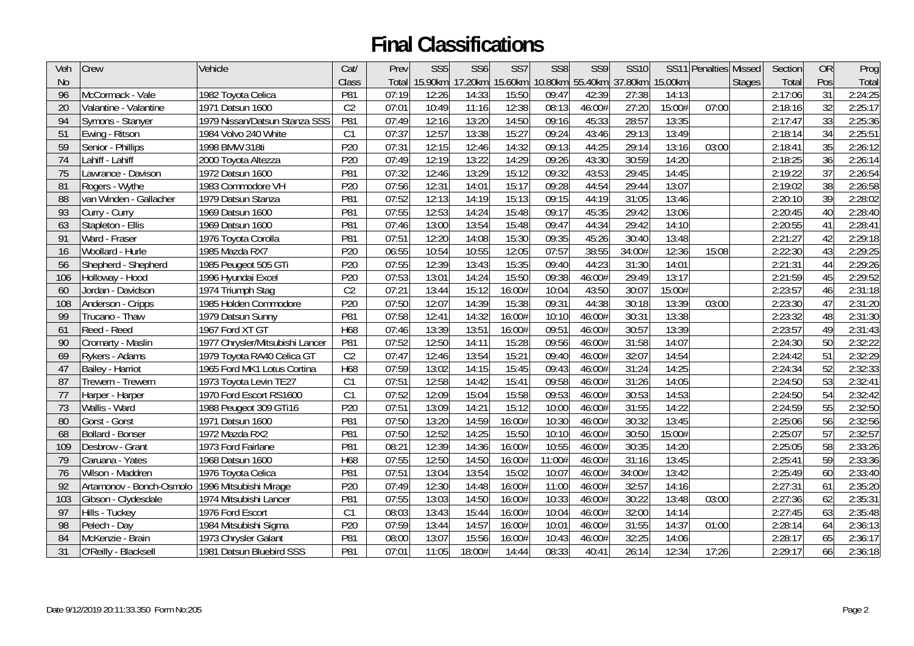| Veh       | Crew                     | Vehicle                         | Cat/            | Prev  | SS <sub>5</sub> | SS <sub>6</sub> | SS <sub>7</sub> | SS <sub>8</sub> | SS9     | <b>SS10</b> |         | SS11 Penalties | Missed        | Section | <b>OR</b>       | Prog    |
|-----------|--------------------------|---------------------------------|-----------------|-------|-----------------|-----------------|-----------------|-----------------|---------|-------------|---------|----------------|---------------|---------|-----------------|---------|
| <b>No</b> |                          |                                 | Class           | Total | 15.90km         |                 | 17.20km 15.60km | 10.80km         | 55.40km | 37.80km     | 15.00km |                | <b>Stages</b> | Total   | Pos             | Total   |
| 96        | McCormack - Vale         | 1982 Toyota Celica              | P81             | 07:19 | 12:26           | 14:33           | 15:50           | 09:47           | 42:39   | 27:38       | 14:13   |                |               | 2:17:06 | 31              | 2:24:25 |
| 20        | Valantine - Valantine    | 1971 Datsun 1600                | C <sub>2</sub>  | 07:01 | 10:49           | 11:16           | 12:38           | 08:13           | 46:00#  | 27:20       | 15:00#  | 07:00          |               | 2:18:16 | 32              | 2:25:17 |
| 94        | Symons - Stanyer         | 1979 Nissan/Datsun Stanza SSS   | P81             | 07:49 | 12:16           | 13:20           | 14:50           | 09:16           | 45:33   | 28:57       | 13:35   |                |               | 2:17:47 | 33              | 2:25:36 |
| 51        | Ewing - Ritson           | 1984 Volvo 240 White            | C1              | 07:37 | 12:57           | 13:38           | 15:27           | 09:24           | 43:46   | 29:13       | 13:49   |                |               | 2:18:14 | 34              | 2:25:51 |
| 59        | Senior - Phillips        | 1998 BMW 318ti                  | P20             | 07:31 | 12:15           | 12:46           | 14:32           | 09:13           | 44:25   | 29:14       | 13:16   | 03:00          |               | 2:18:41 | 35              | 2:26:12 |
| 74        | Lahiff - Lahiff          | 2000 Toyota Altezza             | P20             | 07:49 | 12:19           | 13:22           | 14:29           | 09:26           | 43:30   | 30:59       | 14:20   |                |               | 2:18:25 | $\overline{36}$ | 2:26:14 |
| 75        | Lawrance - Davison       | 1972 Datsun 1600                | P81             | 07:32 | 12:46           | 13:29           | 15:12           | 09:32           | 43:53   | 29:45       | 14:45   |                |               | 2:19:22 | $\overline{37}$ | 2:26:54 |
| 81        | Rogers - Wythe           | 1983 Commodore VH               | P <sub>20</sub> | 07:56 | 12:31           | 14:01           | 15:17           | 09:28           | 44:54   | 29:44       | 13:07   |                |               | 2:19:02 | 38              | 2:26:58 |
| 88        | van Winden - Gallacher   | 1979 Datsun Stanza              | P81             | 07:52 | 12:13           | 14:19           | 15:13           | 09:15           | 44:19   | 31:05       | 13:46   |                |               | 2:20:10 | 39              | 2:28:02 |
| 93        | Curry - Curry            | 1969 Datsun 1600                | P81             | 07:55 | 12:53           | 14:24           | 15:48           | 09:17           | 45:35   | 29:42       | 13:06   |                |               | 2:20:45 | 40              | 2:28:40 |
| 63        | Stapleton - Ellis        | 1969 Datsun 1600                | P81             | 07:46 | 13:00           | 13:54           | 15:48           | 09:47           | 44:34   | 29:42       | 14:10   |                |               | 2:20:55 | 41              | 2:28:41 |
| 91        | Ward - Fraser            | 1976 Toyota Corolla             | P81             | 07:51 | 12:20           | 14:08           | 15:30           | 09:35           | 45:26   | 30:40       | 13:48   |                |               | 2:21:27 | 42              | 2:29:18 |
| 16        | Woollard - Hurle         | 1985 Mazda RX7                  | P20             | 06:55 | 10:54           | 10:55           | 12:05           | 07:57           | 38:55   | 34:00#      | 12:36   | 15:08          |               | 2:22:30 | 43              | 2:29:25 |
| 56        | Shepherd - Shepherd      | 1985 Peugeot 505 GTi            | P20             | 07:55 | 12:39           | 13:43           | 15:35           | 09:40           | 44:23   | 31:30       | 14:01   |                |               | 2:21:31 | 44              | 2:29:26 |
| 106       | Holloway - Hood          | 1996 Hyundai Excel              | P <sub>20</sub> | 07:53 | 13:01           | 14:24           | 15:50           | 09:38           | 46:00#  | 29:49       | 13:17   |                |               | 2:21:59 | 45              | 2:29:52 |
| 60        | Jordan - Davidson        | 1974 Triumph Stag               | C <sub>2</sub>  | 07:21 | 13:44           | 15:12           | 16:00#          | 10:04           | 43:50   | 30:07       | 15:00#  |                |               | 2:23:57 | 46              | 2:31:18 |
| 108       | Anderson - Cripps        | 1985 Holden Commodore           | P <sub>20</sub> | 07:50 | 12:07           | 14:39           | 15:38           | 09:31           | 44:38   | 30:18       | 13:39   | 03:00          |               | 2:23:30 | 47              | 2:31:20 |
| 99        | Trucano - Thaw           | 1979 Datsun Sunny               | P81             | 07:58 | 12:41           | 14:32           | 16:00#          | 10:10           | 46:00#  | 30:31       | 13:38   |                |               | 2:23:32 | 48              | 2:31:30 |
| 61        | Reed - Reed              | 1967 Ford XT GT                 | H68             | 07:46 | 13:39           | 13:51           | 16:00#          | 09:51           | 46:00#  | 30:57       | 13:39   |                |               | 2:23:57 | 49              | 2:31:43 |
| 90        | Cromarty - Maslin        | 1977 Chrysler/Mitsubishi Lancer | P81             | 07:52 | 12:50           | 14:11           | 15:28           | 09:56           | 46:00#  | 31:58       | 14:07   |                |               | 2:24:30 | 50              | 2:32:22 |
| 69        | Rykers - Adams           | 1979 Toyota RA40 Celica GT      | C <sub>2</sub>  | 07:47 | 12:46           | 13:54           | 15:21           | 09:40           | 46:00#  | 32:07       | 14:54   |                |               | 2:24:42 | 51              | 2:32:29 |
| 47        | Bailey - Harriot         | 1965 Ford MK1 Lotus Cortina     | H68             | 07:59 | 13:02           | 14:15           | 15:45           | 09:43           | 46:00#  | 31:24       | 14:25   |                |               | 2:24:34 | 52              | 2:32:33 |
| 87        | Trewern - Trewern        | 1973 Toyota Levin TE27          | C1              | 07:51 | 12:58           | 14:42           | 15:41           | 09:58           | 46:00#  | 31:26       | 14:05   |                |               | 2:24:50 | 53              | 2:32:41 |
| 77        | Harper - Harper          | 1970 Ford Escort RS1600         | C1              | 07:52 | 12:09           | 15:04           | 15:58           | 09:53           | 46:00#  | 30:53       | 14:53   |                |               | 2:24:50 | 54              | 2:32:42 |
| 73        | Wallis - Ward            | 1988 Peugeot 309 GTi16          | P20             | 07:51 | 13:09           | 14:21           | 15:12           | 10:00           | 46:00#  | 31:55       | 14:22   |                |               | 2:24:59 | 55              | 2:32:50 |
| 80        | Gorst - Gorst            | 1971 Datsun 1600                | P81             | 07:50 | 13:20           | 14:59           | 16:00#          | 10:30           | 46:00#  | 30:32       | 13:45   |                |               | 2:25:06 | 56              | 2:32:56 |
| 68        | Bollard - Bonser         | 1972 Mazda RX2                  | P81             | 07:50 | 12:52           | 14:25           | 15:50           | 10:10           | 46:00#  | 30:50       | 15:00#  |                |               | 2:25:07 | 57              | 2:32:57 |
| 109       | Desbrow - Grant          | 1973 Ford Fairlane              | P81             | 08:21 | 12:39           | 14:36           | 16:00#          | 10:55           | 46:00#  | 30:35       | 14:20   |                |               | 2:25:05 | 58              | 2:33:26 |
| 79        | Caruana - Yates          | 1968 Datsun 1600                | H68             | 07:55 | 12:50           | 14:50           | 16:00#          | 11:00#          | 46:00#  | 31:16       | 13:45   |                |               | 2:25:41 | 59              | 2:33:36 |
| 76        | Wilson - Maddren         | 1976 Toyota Celica              | P81             | 07:51 | 13:04           | 13:54           | 15:02           | 10:07           | 46:00#  | 34:00#      | 13:42   |                |               | 2:25:49 | 60              | 2:33:40 |
| 92        | Artamonov - Bonch-Osmolo | 1996 Mitsubishi Mirage          | P <sub>20</sub> | 07:49 | 12:30           | 14:48           | 16:00#          | 11:00           | 46:00#  | 32:57       | 14:16   |                |               | 2:27:31 | 61              | 2:35:20 |
| 103       | Gibson - Clydesdale      | 1974 Mitsubishi Lancer          | P81             | 07:55 | 13:03           | 14:50           | 16:00#          | 10:33           | 46:00#  | 30:22       | 13:48   | 03:00          |               | 2:27:36 | 62              | 2:35:31 |
| 97        | Hills - Tuckey           | 1976 Ford Escort                | C1              | 08:03 | 13:43           | 15:44           | 16:00#          | 10:04           | 46:00#  | 32:00       | 14:14   |                |               | 2:27:45 | 63              | 2:35:48 |
| 98        | Pelech - Day             | 1984 Mitsubishi Sigma           | P20             | 07:59 | 13:44           | 14:57           | 16:00#          | 10:01           | 46:00#  | 31:55       | 14:37   | 01:00          |               | 2:28:14 | 64              | 2:36:13 |
| 84        | McKenzie - Brain         | 1973 Chrysler Galant            | P81             | 08:00 | 13:07           | 15:56           | 16:00#          | 10:43           | 46:00#  | 32:25       | 14:06   |                |               | 2:28:17 | 65              | 2:36:17 |
| 31        | O'Reilly - Blacksell     | 1981 Datsun Bluebird SSS        | P81             | 07:01 | 11:05           | 18:00#          | 14:44           | 08:33           | 40:41   | 26:14       | 12:34   | 17:26          |               | 2:29:17 | 66              | 2:36:18 |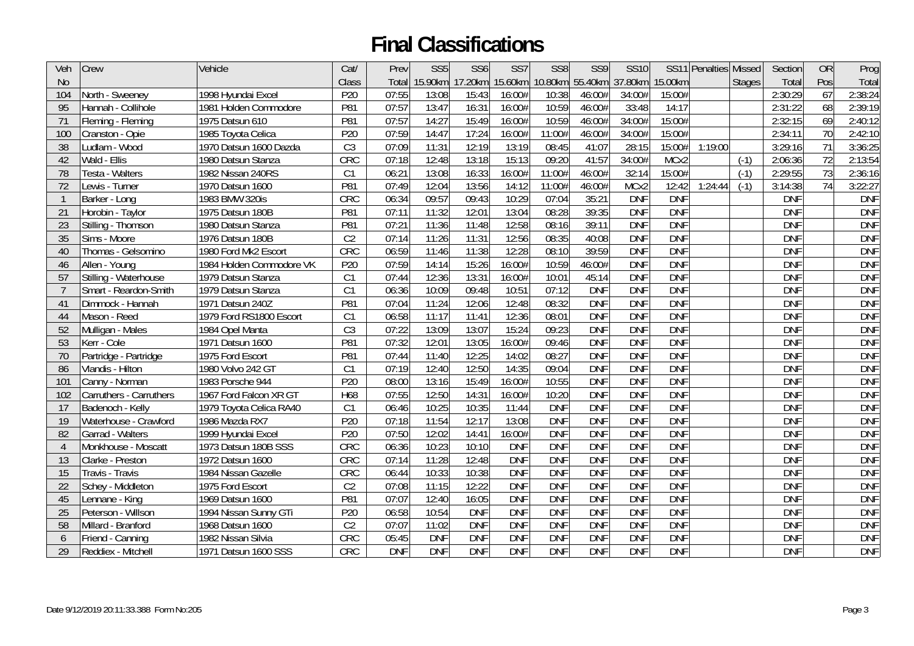| Veh            | Crew                    | Vehicle                  | Cat/            | Prev       | SS <sub>5</sub> | SS <sub>6</sub> | SS <sub>7</sub> | SS <sub>8</sub> | SS9        | <b>SS10</b> |            | SS11 Penalties Missed |               | Section    | <b>OR</b> | Prog       |
|----------------|-------------------------|--------------------------|-----------------|------------|-----------------|-----------------|-----------------|-----------------|------------|-------------|------------|-----------------------|---------------|------------|-----------|------------|
| <b>No</b>      |                         |                          | Class           | Total      | 15.90km         |                 | 17.20km 15.60km | $10.80$ km      | 55.40km    | 37.80km     | 15.00km    |                       | <b>Stages</b> | Total      | Pos       | Total      |
| 104            | North - Sweeney         | 1998 Hyundai Excel       | P20             | 07:55      | 13:08           | 15:43           | 16:00#          | 10:38           | 46:00#     | 34:00#      | 15:00#     |                       |               | 2:30:29    | 67        | 2:38:24    |
| 95             | Hannah - Collihole      | 1981 Holden Commodore    | P81             | 07:57      | 13:47           | 16:31           | 16:00#          | 10:59           | 46:00#     | 33:48       | 14:17      |                       |               | 2:31:22    | 68        | 2:39:19    |
| 71             | Fleming - Fleming       | 1975 Datsun 610          | P81             | 07:57      | 14:27           | 15:49           | 16:00#          | 10:59           | 46:00#     | 34:00#      | 15:00#     |                       |               | 2:32:15    | 69        | 2:40:12    |
| 100            | Cranston - Opie         | 1985 Toyota Celica       | P <sub>20</sub> | 07:59      | 14:47           | 17:24           | 16:00#          | 11:00#          | 46:00#     | 34:00#      | 15:00#     |                       |               | 2:34:11    | 70        | 2:42:10    |
| 38             | Ludlam - Wood           | 1970 Datsun 1600 Dazda   | C <sub>3</sub>  | 07:09      | 11:31           | 12:19           | 13:19           | 08:45           | 41:07      | 28:15       | 15:00#     | 1:19:00               |               | 3:29:16    | 71        | 3:36:25    |
| 42             | Wald - Ellis            | 1980 Datsun Stanza       | CRC             | 07:18      | 12:48           | 13:18           | 15:13           | 09:20           | 41:57      | 34:00#      | MCx2       |                       | $(-1)$        | 2:06:36    | 72        | 2:13:54    |
| 78             | Testa - Walters         | 1982 Nissan 240RS        | C1              | 06:21      | 13:08           | 16:33           | 16:00#          | 11:00#          | 46:00#     | 32:14       | 15:00#     |                       | $(-1)$        | 2:29:55    | 73        | 2:36:16    |
| 72             | Lewis - Turner          | 1970 Datsun 1600         | P81             | 07:49      | 12:04           | 13:56           | 14:12           | 11:00#          | 46:00#     | MCx2        | 12:42      | 1:24:44               | $(-1)$        | 3:14:38    | 74        | 3:22:27    |
| -1             | Barker - Long           | 1983 BMW 320is           | CRC             | 06:34      | 09:57           | 09:43           | 10:29           | 07:04           | 35:21      | <b>DNF</b>  | <b>DNF</b> |                       |               | <b>DNF</b> |           | <b>DNF</b> |
| 21             | Horobin - Taylor        | 1975 Datsun 180B         | P81             | 07:11      | 11:32           | 12:01           | 13:04           | 08:28           | 39:35      | <b>DNF</b>  | <b>DNF</b> |                       |               | <b>DNF</b> |           | <b>DNF</b> |
| 23             | Stilling - Thomson      | 1980 Datsun Stanza       | P81             | 07:21      | 11:36           | 11:48           | 12:58           | 08:16           | 39:11      | <b>DNF</b>  | <b>DNF</b> |                       |               | <b>DNF</b> |           | <b>DNF</b> |
| 35             | Sims - Moore            | 1976 Datsun 180B         | C <sub>2</sub>  | 07:14      | 11:26           | 11:31           | 12:56           | 08:35           | 40:08      | <b>DNF</b>  | <b>DNF</b> |                       |               | <b>DNF</b> |           | <b>DNF</b> |
| 40             | Thomas - Gelsomino      | 1980 Ford Mk2 Escort     | CRC             | 06:59      | 11:46           | 11:38           | 12:28           | 08:10           | 39:59      | <b>DNF</b>  | <b>DNF</b> |                       |               | <b>DNF</b> |           | <b>DNF</b> |
| 46             | Allen - Young           | 1984 Holden Commodore VK | P20             | 07:59      | 14:14           | 15:26           | 16:00#          | 10:59           | 46:00#     | <b>DNF</b>  | <b>DNF</b> |                       |               | <b>DNF</b> |           | <b>DNF</b> |
| 57             | Stilling - Waterhouse   | 1979 Datsun Stanza       | C1              | 07:44      | 12:36           | 13:31           | 16:00#          | 10:01           | 45:14      | <b>DNF</b>  | <b>DNF</b> |                       |               | <b>DNF</b> |           | <b>DNF</b> |
| $\overline{7}$ | Smart - Reardon-Smith   | 1979 Datsun Stanza       | C1              | 06:36      | 10:09           | 09:48           | 10:51           | 07:12           | <b>DNF</b> | <b>DNF</b>  | <b>DNF</b> |                       |               | <b>DNF</b> |           | <b>DNF</b> |
| 41             | Dimmock - Hannah        | 1971 Datsun 240Z         | P81             | 07:04      | 11:24           | 12:06           | 12:48           | 08:32           | <b>DNF</b> | <b>DNF</b>  | <b>DNF</b> |                       |               | <b>DNF</b> |           | <b>DNF</b> |
| 44             | Mason - Reed            | 1979 Ford RS1800 Escort  | C1              | 06:58      | 11:17           | 11:41           | 12:36           | 08:01           | <b>DNF</b> | <b>DNF</b>  | <b>DNF</b> |                       |               | <b>DNF</b> |           | <b>DNF</b> |
| 52             | Mulligan - Males        | 1984 Opel Manta          | $\overline{C3}$ | 07:22      | 13:09           | 13:07           | 15:24           | 09:23           | <b>DNF</b> | <b>DNF</b>  | <b>DNF</b> |                       |               | <b>DNF</b> |           | <b>DNF</b> |
| 53             | Kerr - Cole             | 1971 Datsun 1600         | P81             | 07:32      | 12:01           | 13:05           | 16:00#          | 09:46           | <b>DNF</b> | <b>DNF</b>  | <b>DNF</b> |                       |               | <b>DNF</b> |           | <b>DNF</b> |
| 70             | Partridge - Partridge   | 1975 Ford Escort         | P81             | 07:44      | 11:40           | 12:25           | 14:02           | 08:27           | <b>DNF</b> | <b>DNF</b>  | <b>DNF</b> |                       |               | <b>DNF</b> |           | <b>DNF</b> |
| 86             | Vlandis - Hilton        | 1980 Volvo 242 GT        | C1              | 07:19      | 12:40           | 12:50           | 14:35           | 09:04           | <b>DNF</b> | <b>DNF</b>  | <b>DNF</b> |                       |               | <b>DNF</b> |           | <b>DNF</b> |
| 101            | Canny - Norman          | 1983 Porsche 944         | P20             | 08:00      | 13:16           | 15:49           | 16:00#          | 10:55           | <b>DNF</b> | <b>DNF</b>  | <b>DNF</b> |                       |               | <b>DNF</b> |           | <b>DNF</b> |
| 102            | Carruthers - Carruthers | 1967 Ford Falcon XR GT   | H68             | 07:55      | 12:50           | 14:31           | 16:00#          | 10:20           | <b>DNF</b> | <b>DNF</b>  | <b>DNF</b> |                       |               | <b>DNF</b> |           | <b>DNF</b> |
| 17             | Badenoch - Kelly        | 1979 Toyota Celica RA40  | C1              | 06:46      | 10:25           | 10:35           | 11:44           | <b>DNF</b>      | <b>DNF</b> | <b>DNF</b>  | <b>DNF</b> |                       |               | <b>DNF</b> |           | <b>DNF</b> |
| 19             | Waterhouse - Crawford   | 1986 Mazda RX7           | P20             | 07:18      | 11:54           | 12:17           | 13:08           | <b>DNF</b>      | <b>DNF</b> | <b>DNF</b>  | <b>DNF</b> |                       |               | <b>DNF</b> |           | <b>DNF</b> |
| 82             | Garrad - Walters        | 1999 Hyundai Excel       | P20             | 07:50      | 12:02           | 14:41           | 16:00#          | <b>DNF</b>      | <b>DNF</b> | <b>DNF</b>  | <b>DNF</b> |                       |               | <b>DNF</b> |           | <b>DNF</b> |
| $\overline{4}$ | Monkhouse - Moscatt     | 1973 Datsun 180B SSS     | CRC             | 06:36      | 10:23           | 10:10           | <b>DNF</b>      | <b>DNF</b>      | <b>DNF</b> | <b>DNF</b>  | <b>DNF</b> |                       |               | <b>DNF</b> |           | <b>DNF</b> |
| 13             | Clarke - Preston        | 1972 Datsun 1600         | CRC             | 07:14      | 11:28           | 12:48           | <b>DNF</b>      | <b>DNF</b>      | <b>DNF</b> | <b>DNF</b>  | <b>DNF</b> |                       |               | <b>DNF</b> |           | <b>DNF</b> |
| 15             | Travis - Travis         | 1984 Nissan Gazelle      | CRC             | 06:44      | 10:33           | 10:38           | <b>DNF</b>      | <b>DNF</b>      | <b>DNF</b> | <b>DNF</b>  | <b>DNF</b> |                       |               | <b>DNF</b> |           | <b>DNF</b> |
| 22             | Schey - Middleton       | 1975 Ford Escort         | C <sub>2</sub>  | 07:08      | 11:15           | 12:22           | <b>DNF</b>      | <b>DNF</b>      | <b>DNF</b> | <b>DNF</b>  | <b>DNF</b> |                       |               | <b>DNF</b> |           | <b>DNF</b> |
| 45             | Lennane - King          | 1969 Datsun 1600         | P81             | 07:07      | 12:40           | 16:05           | <b>DNF</b>      | <b>DNF</b>      | <b>DNF</b> | <b>DNF</b>  | <b>DNF</b> |                       |               | <b>DNF</b> |           | <b>DNF</b> |
| 25             | Peterson - Willson      | 1994 Nissan Sunny GTi    | P20             | 06:58      | 10:54           | <b>DNF</b>      | <b>DNF</b>      | <b>DNF</b>      | <b>DNF</b> | <b>DNF</b>  | <b>DNF</b> |                       |               | <b>DNF</b> |           | <b>DNF</b> |
| 58             | Millard - Branford      | 1968 Datsun 1600         | C <sub>2</sub>  | 07:07      | 11:02           | <b>DNF</b>      | <b>DNF</b>      | <b>DNF</b>      | <b>DNF</b> | <b>DNF</b>  | <b>DNF</b> |                       |               | <b>DNF</b> |           | <b>DNF</b> |
| $\overline{6}$ | Friend - Canning        | 1982 Nissan Silvia       | CRC             | 05:45      | <b>DNF</b>      | <b>DNF</b>      | <b>DNF</b>      | <b>DNF</b>      | <b>DNF</b> | <b>DNF</b>  | <b>DNF</b> |                       |               | <b>DNF</b> |           | <b>DNF</b> |
| 29             | Reddiex - Mitchell      | 1971 Datsun 1600 SSS     | CRC             | <b>DNF</b> | <b>DNF</b>      | <b>DNF</b>      | <b>DNF</b>      | <b>DNF</b>      | <b>DNF</b> | <b>DNF</b>  | <b>DNF</b> |                       |               | <b>DNF</b> |           | <b>DNF</b> |